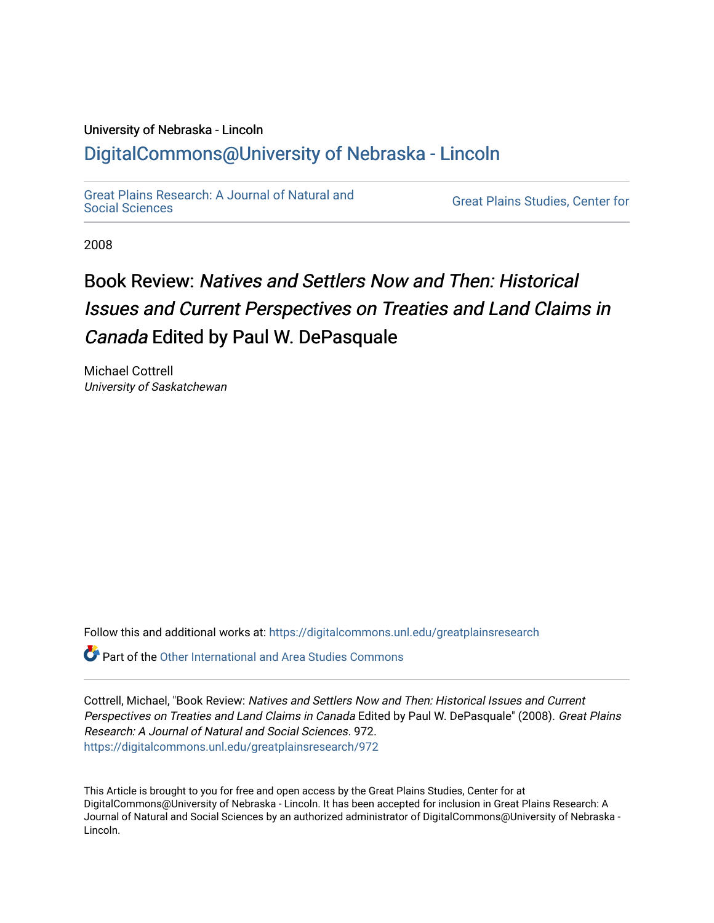## University of Nebraska - Lincoln [DigitalCommons@University of Nebraska - Lincoln](https://digitalcommons.unl.edu/)

[Great Plains Research: A Journal of Natural and](https://digitalcommons.unl.edu/greatplainsresearch) 

**Great Plains Studies, Center for** 

2008

## Book Review: Natives and Settlers Now and Then: Historical Issues and Current Perspectives on Treaties and Land Claims in Canada Edited by Paul W. DePasquale

Michael Cottrell University of Saskatchewan

Follow this and additional works at: [https://digitalcommons.unl.edu/greatplainsresearch](https://digitalcommons.unl.edu/greatplainsresearch?utm_source=digitalcommons.unl.edu%2Fgreatplainsresearch%2F972&utm_medium=PDF&utm_campaign=PDFCoverPages) 

 $\bullet$  Part of the [Other International and Area Studies Commons](http://network.bepress.com/hgg/discipline/365?utm_source=digitalcommons.unl.edu%2Fgreatplainsresearch%2F972&utm_medium=PDF&utm_campaign=PDFCoverPages)

Cottrell, Michael, "Book Review: Natives and Settlers Now and Then: Historical Issues and Current Perspectives on Treaties and Land Claims in Canada Edited by Paul W. DePasquale" (2008). Great Plains Research: A Journal of Natural and Social Sciences. 972. [https://digitalcommons.unl.edu/greatplainsresearch/972](https://digitalcommons.unl.edu/greatplainsresearch/972?utm_source=digitalcommons.unl.edu%2Fgreatplainsresearch%2F972&utm_medium=PDF&utm_campaign=PDFCoverPages) 

This Article is brought to you for free and open access by the Great Plains Studies, Center for at DigitalCommons@University of Nebraska - Lincoln. It has been accepted for inclusion in Great Plains Research: A Journal of Natural and Social Sciences by an authorized administrator of DigitalCommons@University of Nebraska - Lincoln.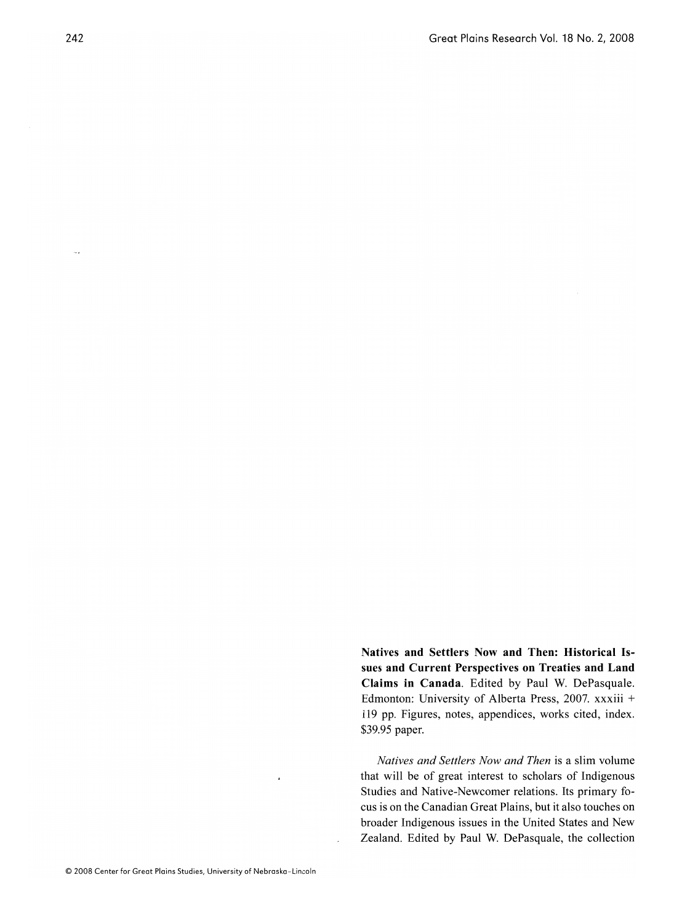**sues and Current Perspectives on Treaties and Land**  sues and Current Perspectives on Treaties and Land Claims in Canada. Edited by Paul W. DePasquale. Edmonton: University of Alberta Press, 2007. xxxiii + 119 pp. Figures, notes, appendices, works cited, index. \$39.95 paper.

**Natives and Settlers Now and Then: Historical Is-**

*Natives and Settlers Now and Then* is a slim volume  $t$  is a surface of  $t$  and  $t$  and  $t$  in the  $t$  is a sum volume that will be of great interest to scholars of Indigenous. Studies and Native-Newcomer relations. Its primary focus is on the Canadian Great Plains, but it also touches on broader Indigenous issues in the United States and New Zealand. Edited by Paul W. DePasquale, the collection